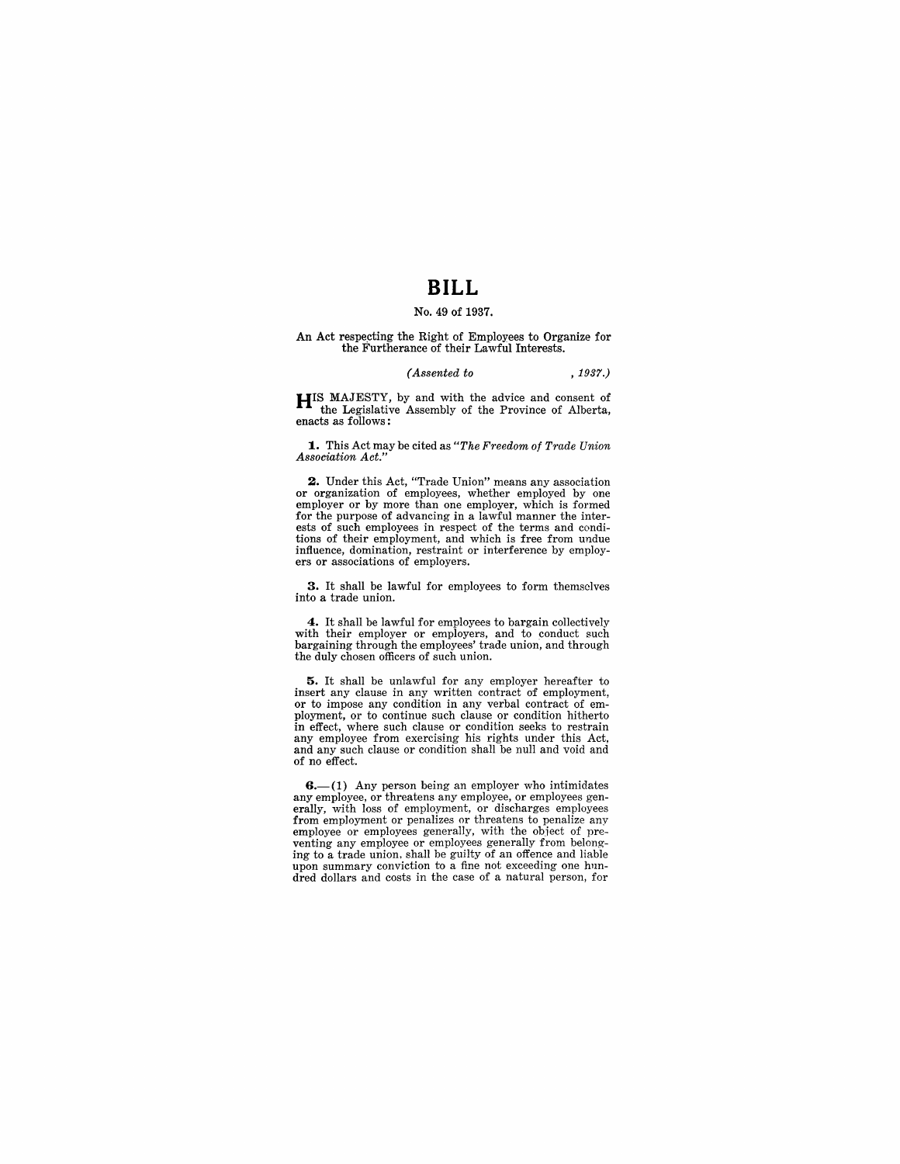## **BILL**

#### No. 49 of 1937.

An Act respecting the Right of Employees to Organize for the Furtherance of their Lawful Interests.

#### *(Assented to* , 1937.)

**HIS** MAJESTY, by and with the advice and consent of the Legislative Assembly of the Province of Alberta, enacts as follows:

~. This Act may be cited as *"The Freedom of Trade Union Association Act."* 

**2.** Under this Act, "Trade Union" means any association or organization of employees, whether employed by one employer or by more than one employer, which is formed for the purpose of advancing in a lawful manner the interests of such employees in respect of the terms and conditions of their employment, and which is free from undue influence, domination, restraint or interference by employ- ers or associations of employers.

**3.** It shall be lawful for employees to form themselves into a trade union.

**4.** It shall be lawful for employees to bargain collectively with their employer or employers, and to conduct such bargaining through the employees' trade union, and through the duly chosen officers of such union.

5. It shall be unlawful for any employer hereafter to insert any clause in any written contract of employment, or to impose any condition in any verbal contract of em-In effect, where such clause or condition hitherto<br>in effect, where such clause or condition seeks to restrain any employee from exercising his rights under this Act, and any such clause or condition shall be null and void and of no effect.

 $6-(1)$  Any person being an employer who intimidates any employee, or threatens any employee, or employees generally, with loss of employment, or discharges employees from employment or penalizes or threatens to penalize any employee or employees generally, with the object of preventing any employee or employees generally from belonging to a trade union, shall be guilty of an offence and liable upon summary conviction to a fine not exceeding one hundred dollars and costs in the case of a natural person, for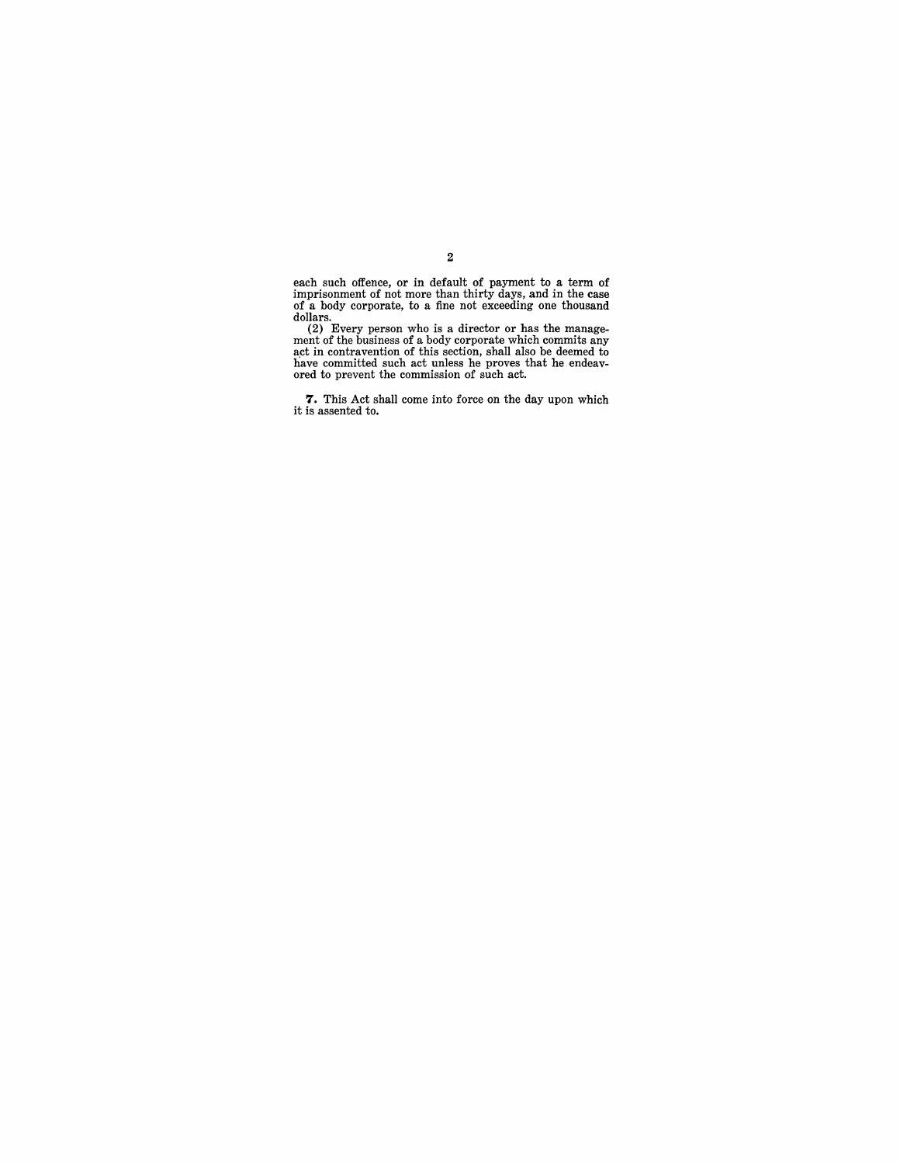each such offence, or in default of payment to a term of imprisonment of not more than thirty days, and in the case of a body corporate, to a fine not exceeding one thousand

dollars. (2) Every person who is a director or has the management of the business of a body corporate which commits any next in contravention of this section, shall also be deemed to have committed such act unless he prove

7. This Act shall come into force on the day upon which it is assented to.

2